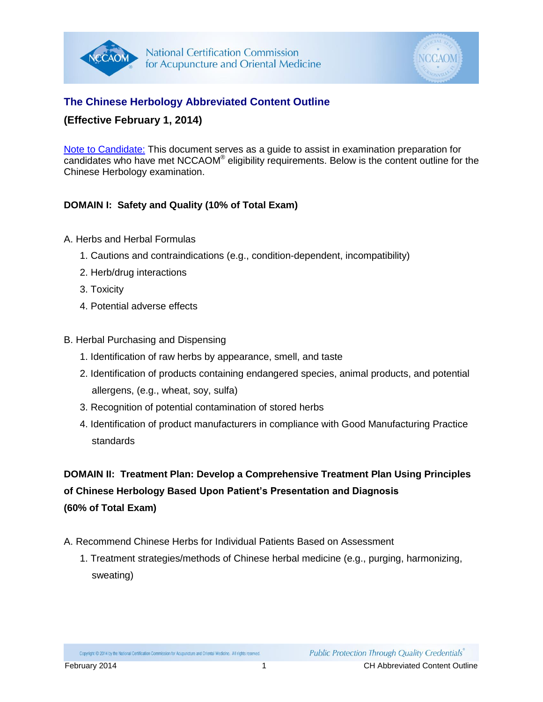



## **The Chinese Herbology Abbreviated Content Outline**

### **(Effective February 1, 2014)**

Note to Candidate: This document serves as a guide to assist in examination preparation for candidates who have met NCCAOM® eligibility requirements. Below is the content outline for the Chinese Herbology examination.

### **DOMAIN I: Safety and Quality (10% of Total Exam)**

- A. Herbs and Herbal Formulas
	- 1. Cautions and contraindications (e.g., condition-dependent, incompatibility)
	- 2. Herb/drug interactions
	- 3. Toxicity
	- 4. Potential adverse effects
- B. Herbal Purchasing and Dispensing
	- 1. Identification of raw herbs by appearance, smell, and taste
	- 2. Identification of products containing endangered species, animal products, and potential allergens, (e.g., wheat, soy, sulfa)
	- 3. Recognition of potential contamination of stored herbs
	- 4. Identification of product manufacturers in compliance with Good Manufacturing Practice standards

**DOMAIN II: Treatment Plan: Develop a Comprehensive Treatment Plan Using Principles of Chinese Herbology Based Upon Patient's Presentation and Diagnosis (60% of Total Exam)**

- A. Recommend Chinese Herbs for Individual Patients Based on Assessment
	- 1. Treatment strategies/methods of Chinese herbal medicine (e.g., purging, harmonizing, sweating)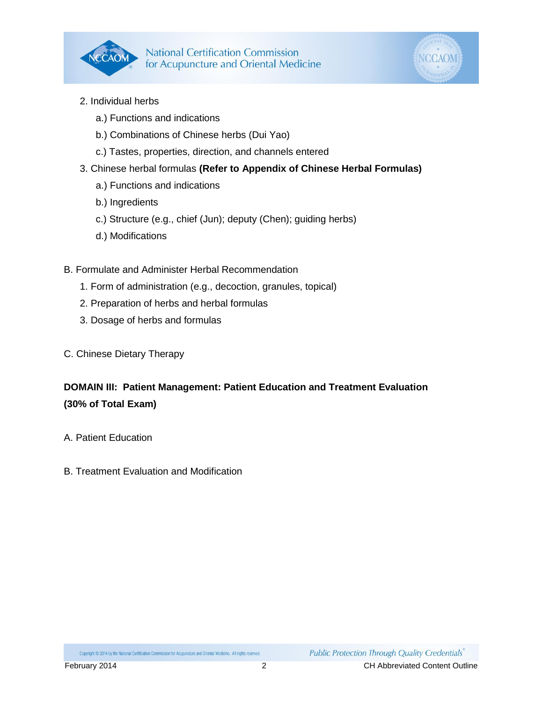



- 2. Individual herbs
	- a.) Functions and indications
	- b.) Combinations of Chinese herbs (Dui Yao)
	- c.) Tastes, properties, direction, and channels entered
- 3. Chinese herbal formulas **(Refer to Appendix of Chinese Herbal Formulas)**
	- a.) Functions and indications
	- b.) Ingredients
	- c.) Structure (e.g., chief (Jun); deputy (Chen); guiding herbs)
	- d.) Modifications
- B. Formulate and Administer Herbal Recommendation
	- 1. Form of administration (e.g., decoction, granules, topical)
	- 2. Preparation of herbs and herbal formulas
	- 3. Dosage of herbs and formulas
- C. Chinese Dietary Therapy

# **DOMAIN III: Patient Management: Patient Education and Treatment Evaluation (30% of Total Exam)**

- A. Patient Education
- B. Treatment Evaluation and Modification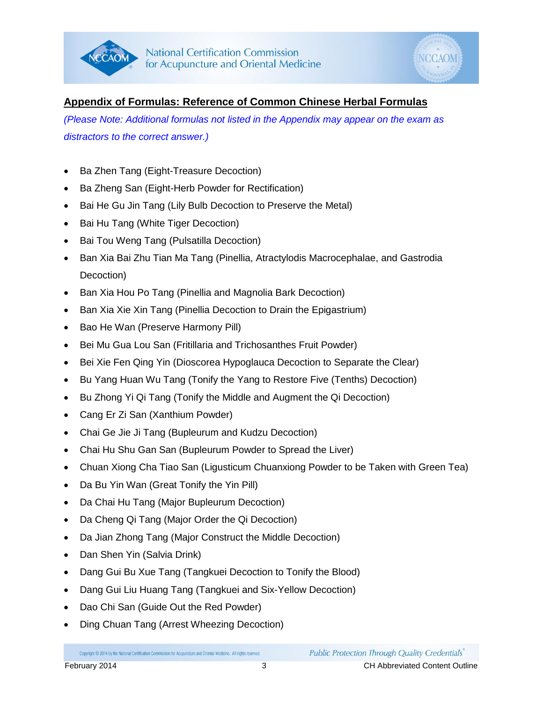



# **Appendix of Formulas: Reference of Common Chinese Herbal Formulas**

*(Please Note: Additional formulas not listed in the Appendix may appear on the exam as distractors to the correct answer.)*

- Ba Zhen Tang (Eight-Treasure Decoction)
- Ba Zheng San (Eight-Herb Powder for Rectification)
- Bai He Gu Jin Tang (Lily Bulb Decoction to Preserve the Metal)
- Bai Hu Tang (White Tiger Decoction)
- Bai Tou Weng Tang (Pulsatilla Decoction)
- Ban Xia Bai Zhu Tian Ma Tang (Pinellia, Atractylodis Macrocephalae, and Gastrodia Decoction)
- Ban Xia Hou Po Tang (Pinellia and Magnolia Bark Decoction)
- Ban Xia Xie Xin Tang (Pinellia Decoction to Drain the Epigastrium)
- Bao He Wan (Preserve Harmony Pill)
- Bei Mu Gua Lou San (Fritillaria and Trichosanthes Fruit Powder)
- Bei Xie Fen Qing Yin (Dioscorea Hypoglauca Decoction to Separate the Clear)
- Bu Yang Huan Wu Tang (Tonify the Yang to Restore Five (Tenths) Decoction)
- Bu Zhong Yi Qi Tang (Tonify the Middle and Augment the Qi Decoction)
- Cang Er Zi San (Xanthium Powder)
- Chai Ge Jie Ji Tang (Bupleurum and Kudzu Decoction)
- Chai Hu Shu Gan San (Bupleurum Powder to Spread the Liver)
- Chuan Xiong Cha Tiao San (Ligusticum Chuanxiong Powder to be Taken with Green Tea)
- Da Bu Yin Wan (Great Tonify the Yin Pill)
- Da Chai Hu Tang (Major Bupleurum Decoction)
- Da Cheng Qi Tang (Major Order the Qi Decoction)
- Da Jian Zhong Tang (Major Construct the Middle Decoction)
- Dan Shen Yin (Salvia Drink)
- Dang Gui Bu Xue Tang (Tangkuei Decoction to Tonify the Blood)
- Dang Gui Liu Huang Tang (Tangkuei and Six-Yellow Decoction)
- Dao Chi San (Guide Out the Red Powder)
- Ding Chuan Tang (Arrest Wheezing Decoction)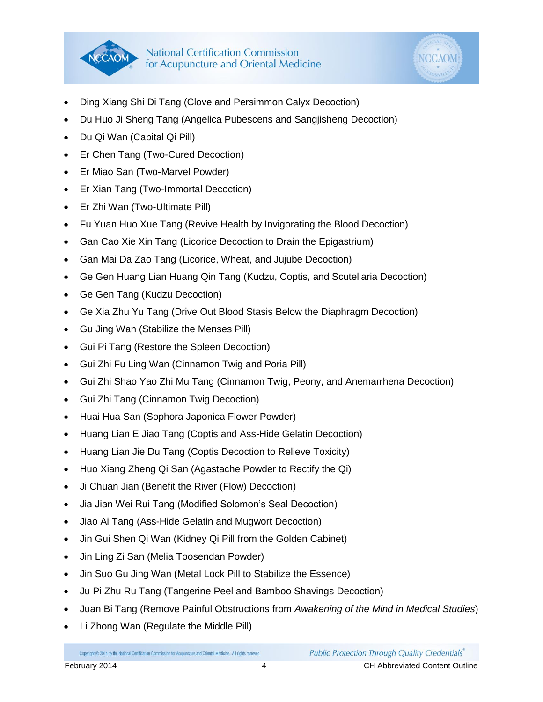



- Ding Xiang Shi Di Tang (Clove and Persimmon Calyx Decoction)
- Du Huo Ji Sheng Tang (Angelica Pubescens and Sangjisheng Decoction)
- Du Qi Wan (Capital Qi Pill)
- Er Chen Tang (Two-Cured Decoction)
- Er Miao San (Two-Marvel Powder)
- Er Xian Tang (Two-Immortal Decoction)
- Er Zhi Wan (Two-Ultimate Pill)
- Fu Yuan Huo Xue Tang (Revive Health by Invigorating the Blood Decoction)
- Gan Cao Xie Xin Tang (Licorice Decoction to Drain the Epigastrium)
- Gan Mai Da Zao Tang (Licorice, Wheat, and Jujube Decoction)
- Ge Gen Huang Lian Huang Qin Tang (Kudzu, Coptis, and Scutellaria Decoction)
- Ge Gen Tang (Kudzu Decoction)
- Ge Xia Zhu Yu Tang (Drive Out Blood Stasis Below the Diaphragm Decoction)
- Gu Jing Wan (Stabilize the Menses Pill)
- Gui Pi Tang (Restore the Spleen Decoction)
- Gui Zhi Fu Ling Wan (Cinnamon Twig and Poria Pill)
- Gui Zhi Shao Yao Zhi Mu Tang (Cinnamon Twig, Peony, and Anemarrhena Decoction)
- Gui Zhi Tang (Cinnamon Twig Decoction)
- Huai Hua San (Sophora Japonica Flower Powder)
- Huang Lian E Jiao Tang (Coptis and Ass-Hide Gelatin Decoction)
- Huang Lian Jie Du Tang (Coptis Decoction to Relieve Toxicity)
- Huo Xiang Zheng Qi San (Agastache Powder to Rectify the Qi)
- Ji Chuan Jian (Benefit the River (Flow) Decoction)
- Jia Jian Wei Rui Tang (Modified Solomon's Seal Decoction)
- Jiao Ai Tang (Ass-Hide Gelatin and Mugwort Decoction)
- Jin Gui Shen Qi Wan (Kidney Qi Pill from the Golden Cabinet)
- Jin Ling Zi San (Melia Toosendan Powder)
- Jin Suo Gu Jing Wan (Metal Lock Pill to Stabilize the Essence)
- Ju Pi Zhu Ru Tang (Tangerine Peel and Bamboo Shavings Decoction)
- Juan Bi Tang (Remove Painful Obstructions from *Awakening of the Mind in Medical Studies*)
- Li Zhong Wan (Regulate the Middle Pill)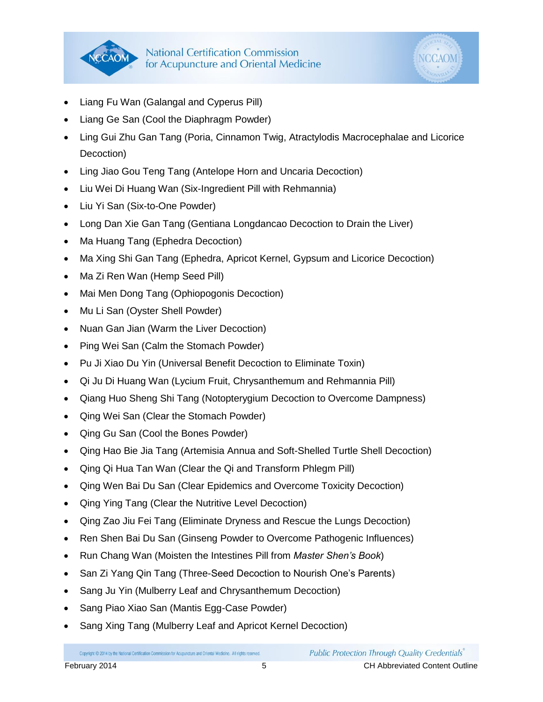



- Liang Fu Wan (Galangal and Cyperus Pill)
- Liang Ge San (Cool the Diaphragm Powder)
- Ling Gui Zhu Gan Tang (Poria, Cinnamon Twig, Atractylodis Macrocephalae and Licorice Decoction)
- Ling Jiao Gou Teng Tang (Antelope Horn and Uncaria Decoction)
- Liu Wei Di Huang Wan (Six-Ingredient Pill with Rehmannia)
- Liu Yi San (Six-to-One Powder)
- Long Dan Xie Gan Tang (Gentiana Longdancao Decoction to Drain the Liver)
- Ma Huang Tang (Ephedra Decoction)
- Ma Xing Shi Gan Tang (Ephedra, Apricot Kernel, Gypsum and Licorice Decoction)
- Ma Zi Ren Wan (Hemp Seed Pill)
- Mai Men Dong Tang (Ophiopogonis Decoction)
- Mu Li San (Oyster Shell Powder)
- Nuan Gan Jian (Warm the Liver Decoction)
- Ping Wei San (Calm the Stomach Powder)
- Pu Ji Xiao Du Yin (Universal Benefit Decoction to Eliminate Toxin)
- Qi Ju Di Huang Wan (Lycium Fruit, Chrysanthemum and Rehmannia Pill)
- Qiang Huo Sheng Shi Tang (Notopterygium Decoction to Overcome Dampness)
- Qing Wei San (Clear the Stomach Powder)
- Qing Gu San (Cool the Bones Powder)
- Qing Hao Bie Jia Tang (Artemisia Annua and Soft-Shelled Turtle Shell Decoction)
- Qing Qi Hua Tan Wan (Clear the Qi and Transform Phlegm Pill)
- Qing Wen Bai Du San (Clear Epidemics and Overcome Toxicity Decoction)
- Qing Ying Tang (Clear the Nutritive Level Decoction)
- Qing Zao Jiu Fei Tang (Eliminate Dryness and Rescue the Lungs Decoction)
- Ren Shen Bai Du San (Ginseng Powder to Overcome Pathogenic Influences)
- Run Chang Wan (Moisten the Intestines Pill from *Master Shen's Book*)
- San Zi Yang Qin Tang (Three-Seed Decoction to Nourish One's Parents)
- Sang Ju Yin (Mulberry Leaf and Chrysanthemum Decoction)
- Sang Piao Xiao San (Mantis Egg-Case Powder)
- Sang Xing Tang (Mulberry Leaf and Apricot Kernel Decoction)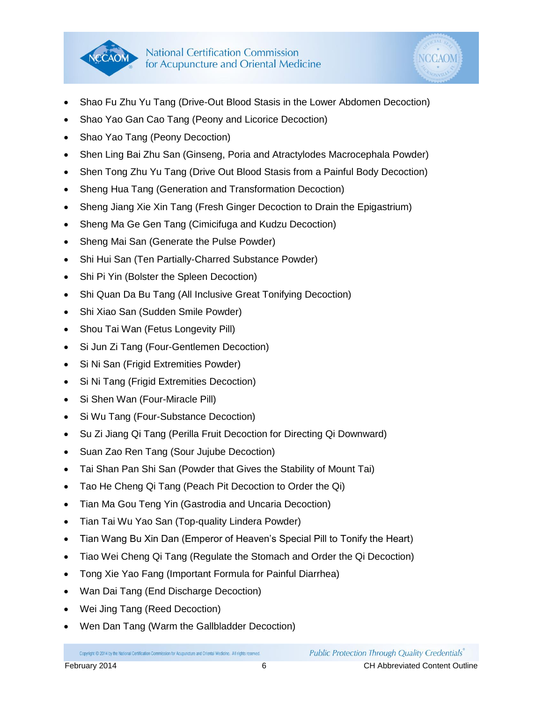



- Shao Fu Zhu Yu Tang (Drive-Out Blood Stasis in the Lower Abdomen Decoction)
- Shao Yao Gan Cao Tang (Peony and Licorice Decoction)
- Shao Yao Tang (Peony Decoction)
- Shen Ling Bai Zhu San (Ginseng, Poria and Atractylodes Macrocephala Powder)
- Shen Tong Zhu Yu Tang (Drive Out Blood Stasis from a Painful Body Decoction)
- Sheng Hua Tang (Generation and Transformation Decoction)
- Sheng Jiang Xie Xin Tang (Fresh Ginger Decoction to Drain the Epigastrium)
- Sheng Ma Ge Gen Tang (Cimicifuga and Kudzu Decoction)
- Sheng Mai San (Generate the Pulse Powder)
- Shi Hui San (Ten Partially-Charred Substance Powder)
- Shi Pi Yin (Bolster the Spleen Decoction)
- Shi Quan Da Bu Tang (All Inclusive Great Tonifying Decoction)
- Shi Xiao San (Sudden Smile Powder)
- Shou Tai Wan (Fetus Longevity Pill)
- Si Jun Zi Tang (Four-Gentlemen Decoction)
- Si Ni San (Frigid Extremities Powder)
- Si Ni Tang (Frigid Extremities Decoction)
- Si Shen Wan (Four-Miracle Pill)
- Si Wu Tang (Four-Substance Decoction)
- Su Zi Jiang Qi Tang (Perilla Fruit Decoction for Directing Qi Downward)
- Suan Zao Ren Tang (Sour Jujube Decoction)
- Tai Shan Pan Shi San (Powder that Gives the Stability of Mount Tai)
- Tao He Cheng Qi Tang (Peach Pit Decoction to Order the Qi)
- Tian Ma Gou Teng Yin (Gastrodia and Uncaria Decoction)
- Tian Tai Wu Yao San (Top-quality Lindera Powder)
- Tian Wang Bu Xin Dan (Emperor of Heaven's Special Pill to Tonify the Heart)
- Tiao Wei Cheng Qi Tang (Regulate the Stomach and Order the Qi Decoction)
- Tong Xie Yao Fang (Important Formula for Painful Diarrhea)
- Wan Dai Tang (End Discharge Decoction)
- Wei Jing Tang (Reed Decoction)
- Wen Dan Tang (Warm the Gallbladder Decoction)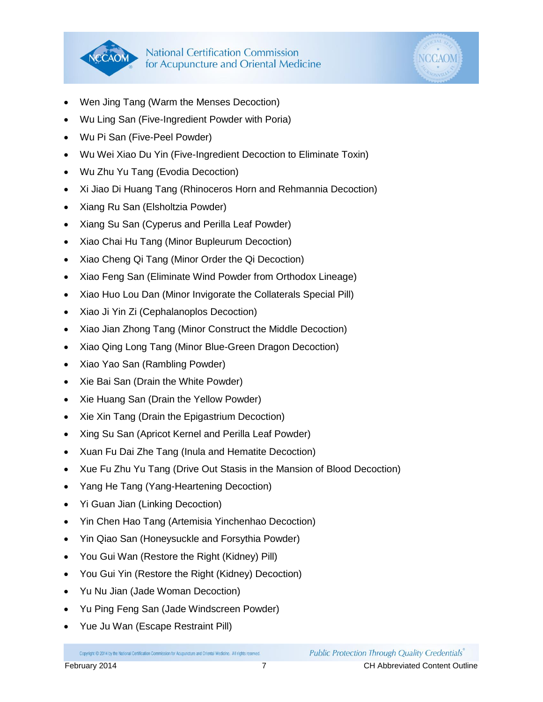



- Wen Jing Tang (Warm the Menses Decoction)
- Wu Ling San (Five-Ingredient Powder with Poria)
- Wu Pi San (Five-Peel Powder)
- Wu Wei Xiao Du Yin (Five-Ingredient Decoction to Eliminate Toxin)
- Wu Zhu Yu Tang (Evodia Decoction)
- Xi Jiao Di Huang Tang (Rhinoceros Horn and Rehmannia Decoction)
- Xiang Ru San (Elsholtzia Powder)
- Xiang Su San (Cyperus and Perilla Leaf Powder)
- Xiao Chai Hu Tang (Minor Bupleurum Decoction)
- Xiao Cheng Qi Tang (Minor Order the Qi Decoction)
- Xiao Feng San (Eliminate Wind Powder from Orthodox Lineage)
- Xiao Huo Lou Dan (Minor Invigorate the Collaterals Special Pill)
- Xiao Ji Yin Zi (Cephalanoplos Decoction)
- Xiao Jian Zhong Tang (Minor Construct the Middle Decoction)
- Xiao Qing Long Tang (Minor Blue-Green Dragon Decoction)
- Xiao Yao San (Rambling Powder)
- Xie Bai San (Drain the White Powder)
- Xie Huang San (Drain the Yellow Powder)
- Xie Xin Tang (Drain the Epigastrium Decoction)
- Xing Su San (Apricot Kernel and Perilla Leaf Powder)
- Xuan Fu Dai Zhe Tang (Inula and Hematite Decoction)
- Xue Fu Zhu Yu Tang (Drive Out Stasis in the Mansion of Blood Decoction)
- Yang He Tang (Yang-Heartening Decoction)
- Yi Guan Jian (Linking Decoction)
- Yin Chen Hao Tang (Artemisia Yinchenhao Decoction)
- Yin Qiao San (Honeysuckle and Forsythia Powder)
- You Gui Wan (Restore the Right (Kidney) Pill)
- You Gui Yin (Restore the Right (Kidney) Decoction)
- Yu Nu Jian (Jade Woman Decoction)
- Yu Ping Feng San (Jade Windscreen Powder)
- Yue Ju Wan (Escape Restraint Pill)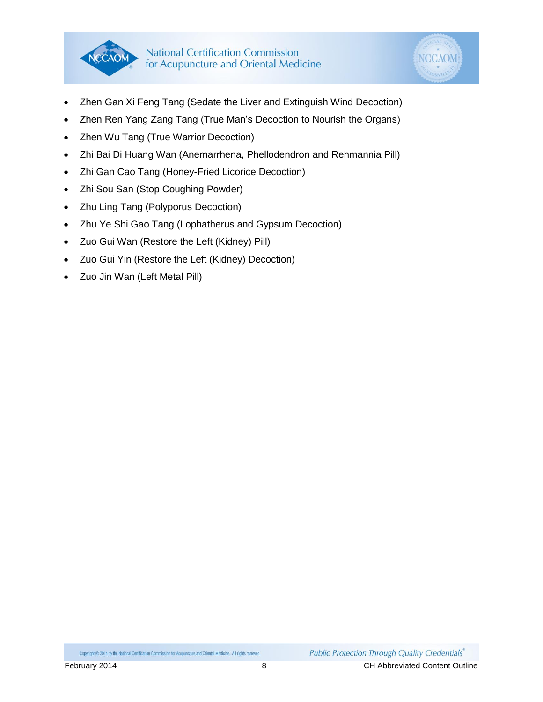



- Zhen Gan Xi Feng Tang (Sedate the Liver and Extinguish Wind Decoction)
- Zhen Ren Yang Zang Tang (True Man's Decoction to Nourish the Organs)
- Zhen Wu Tang (True Warrior Decoction)
- Zhi Bai Di Huang Wan (Anemarrhena, Phellodendron and Rehmannia Pill)
- Zhi Gan Cao Tang (Honey-Fried Licorice Decoction)
- Zhi Sou San (Stop Coughing Powder)
- Zhu Ling Tang (Polyporus Decoction)
- Zhu Ye Shi Gao Tang (Lophatherus and Gypsum Decoction)
- Zuo Gui Wan (Restore the Left (Kidney) Pill)
- Zuo Gui Yin (Restore the Left (Kidney) Decoction)
- Zuo Jin Wan (Left Metal Pill)